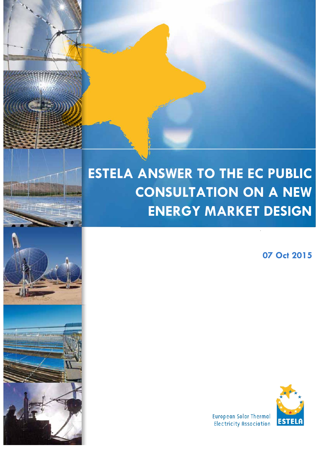# **ESTELA ANSWER TO THE EC PUBLIC CONSULTATION ON A NEW ENERGY MARKET DESIGN**

 $\mathbf{V}$ 

ī

**07 Oct 2015**



**European Solar Thermal** Electricity Association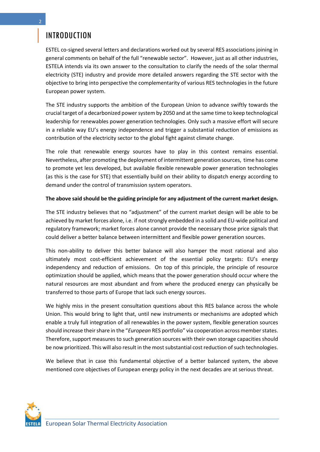# INTRODUCTION

ESTEL co-signed several letters and declarations worked out by several RES associations joining in general comments on behalf of the full "renewable sector". However, just as all other industries, ESTELA intends via its own answer to the consultation to clarify the needs of the solar thermal electricity (STE) industry and provide more detailed answers regarding the STE sector with the objective to bring into perspective the complementarity of various RES technologies in the future European power system.

The STE industry supports the ambition of the European Union to advance swiftly towards the crucial target of a decarbonized power system by 2050 and at the same time to keep technological leadership for renewables power generation technologies. Only such a massive effort will secure in a reliable way EU's energy independence and trigger a substantial reduction of emissions as contribution of the electricity sector to the global fight against climate change.

The role that renewable energy sources have to play in this context remains essential. Nevertheless, after promoting the deployment of intermittent generation sources, time has come to promote yet less developed, but available flexible renewable power generation technologies (as this is the case for STE) that essentially build on their ability to dispatch energy according to demand under the control of transmission system operators.

#### **The above said should be the guiding principle for any adjustment of the current market design.**

The STE industry believes that no "adjustment" of the current market design will be able to be achieved by market forces alone, i.e. if not strongly embedded in a solid and EU-wide political and regulatory framework; market forces alone cannot provide the necessary those price signals that could deliver a better balance between intermittent and flexible power generation sources.

This non-ability to deliver this better balance will also hamper the most rational and also ultimately most cost-efficient achievement of the essential policy targets: EU's energy independency and reduction of emissions. On top of this principle, the principle of resource optimization should be applied, which means that the power generation should occur where the natural resources are most abundant and from where the produced energy can physically be transferred to those parts of Europe that lack such energy sources.

We highly miss in the present consultation questions about this RES balance across the whole Union. This would bring to light that, until new instruments or mechanisms are adopted which enable a truly full integration of all renewables in the power system, flexible generation sources should increase their share in the "*European* RES portfolio" via cooperation across member states. Therefore, support measures to such generation sources with their own storage capacities should be now prioritized. This will also result in the most substantial cost reduction of such technologies.

We believe that in case this fundamental objective of a better balanced system, the above mentioned core objectives of European energy policy in the next decades are at serious threat.

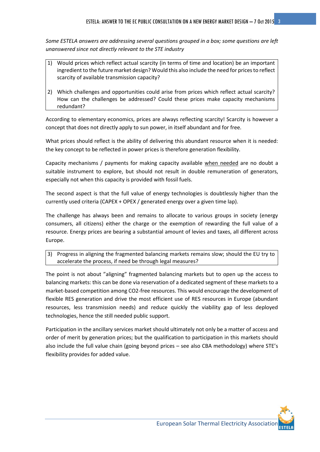*Some ESTELA answers are addressing several questions grouped in a box; some questions are left unanswered since not directly relevant to the STE industry*

- 1) Would prices which reflect actual scarcity (in terms of time and location) be an important ingredient to the future market design? Would this also include the need for prices to reflect scarcity of available transmission capacity?
- 2) Which challenges and opportunities could arise from prices which reflect actual scarcity? How can the challenges be addressed? Could these prices make capacity mechanisms redundant?

According to elementary economics, prices are always reflecting scarcity! Scarcity is however a concept that does not directly apply to sun power, in itself abundant and for free.

What prices should reflect is the ability of delivering this abundant resource when it is needed: the key concept to be reflected in power prices is therefore generation flexibility.

Capacity mechanisms / payments for making capacity available when needed are no doubt a suitable instrument to explore, but should not result in double remuneration of generators, especially not when this capacity is provided with fossil fuels.

The second aspect is that the full value of energy technologies is doubtlessly higher than the currently used criteria (CAPEX + OPEX / generated energy over a given time lap).

The challenge has always been and remains to allocate to various groups in society (energy consumers, all citizens) either the charge or the exemption of rewarding the full value of a resource. Energy prices are bearing a substantial amount of levies and taxes, all different across Europe.

3) Progress in aligning the fragmented balancing markets remains slow; should the EU try to accelerate the process, if need be through legal measures?

The point is not about "aligning" fragmented balancing markets but to open up the access to balancing markets: this can be done via reservation of a dedicated segment of these markets to a market-based competition among CO2-free resources. This would encourage the development of flexible RES generation and drive the most efficient use of RES resources in Europe (abundant resources, less transmission needs) and reduce quickly the viability gap of less deployed technologies, hence the still needed public support.

Participation in the ancillary services market should ultimately not only be a matter of access and order of merit by generation prices; but the qualification to participation in this markets should also include the full value chain (going beyond prices – see also CBA methodology) where STE's flexibility provides for added value.

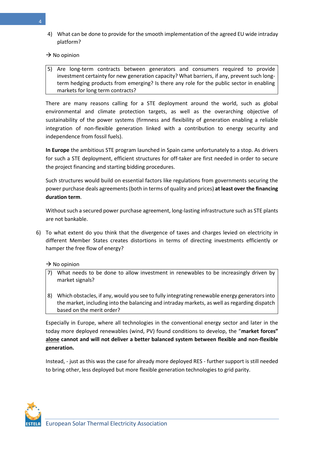4) What can be done to provide for the smooth implementation of the agreed EU wide intraday platform?

### $\rightarrow$  No opinion

5) Are long-term contracts between generators and consumers required to provide investment certainty for new generation capacity? What barriers, if any, prevent such longterm hedging products from emerging? Is there any role for the public sector in enabling markets for long term contracts?

There are many reasons calling for a STE deployment around the world, such as global environmental and climate protection targets, as well as the overarching objective of sustainability of the power systems (firmness and flexibility of generation enabling a reliable integration of non-flexible generation linked with a contribution to energy security and independence from fossil fuels).

**In Europe** the ambitious STE program launched in Spain came unfortunately to a stop. As drivers for such a STE deployment, efficient structures for off-taker are first needed in order to secure the project financing and starting bidding procedures.

Such structures would build on essential factors like regulations from governments securing the power purchase deals agreements (both in terms of quality and prices) **at least over the financing duration term**.

Without such a secured power purchase agreement, long-lasting infrastructure such as STE plants are not bankable.

6) To what extent do you think that the divergence of taxes and charges levied on electricity in different Member States creates distortions in terms of directing investments efficiently or hamper the free flow of energy?

#### $\rightarrow$  No opinion

- 7) What needs to be done to allow investment in renewables to be increasingly driven by market signals?
- 8) Which obstacles, if any, would you see to fully integrating renewable energy generators into the market, including into the balancing and intraday markets, as well as regarding dispatch based on the merit order?

Especially in Europe, where all technologies in the conventional energy sector and later in the today more deployed renewables (wind, PV) found conditions to develop, the "**market forces" alone cannot and will not deliver a better balanced system between flexible and non-flexible generation.**

Instead, - just as this was the case for already more deployed RES - further support is still needed to bring other, less deployed but more flexible generation technologies to grid parity.

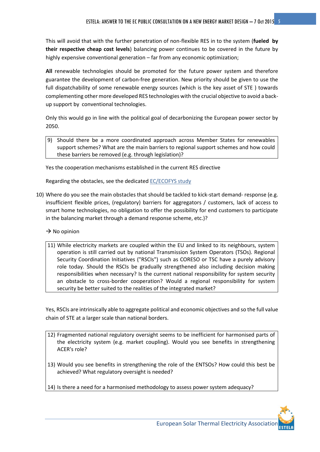This will avoid that with the further penetration of non-flexible RES in to the system (**fueled by their respective cheap cost levels**) balancing power continues to be covered in the future by highly expensive conventional generation – far from any economic optimization;

**All** renewable technologies should be promoted for the future power system and therefore guarantee the development of carbon-free generation. New priority should be given to use the full dispatchability of some renewable energy sources (which is the key asset of STE ) towards complementing other more developed RES technologies with the crucial objective to avoid a backup support by conventional technologies.

Only this would go in line with the political goal of decarbonizing the European power sector by 2050.

9) Should there be a more coordinated approach across Member States for renewables support schemes? What are the main barriers to regional support schemes and how could these barriers be removed (e.g. through legislation)?

Yes the cooperation mechanisms established in the current RES directive

Regarding the obstacles, see the dedicated [EC/ECOFYS study](http://www.ecofys.com/en/publication/renewable-electricity-support-schemes-and-cooperation-mechanisms-in-/)

- 10) Where do you see the main obstacles that should be tackled to kick-start demand- response (e.g. insufficient flexible prices, (regulatory) barriers for aggregators / customers, lack of access to smart home technologies, no obligation to offer the possibility for end customers to participate in the balancing market through a demand response scheme, etc.)?
	- $\rightarrow$  No opinion
	- 11) While electricity markets are coupled within the EU and linked to its neighbours, system operation is still carried out by national Transmission System Operators (TSOs). Regional Security Coordination Initiatives ("RSCIs") such as CORESO or TSC have a purely advisory role today. Should the RSCIs be gradually strengthened also including decision making responsibilities when necessary? Is the current national responsibility for system security an obstacle to cross-border cooperation? Would a regional responsibility for system security be better suited to the realities of the integrated market?

Yes, RSCIs are intrinsically able to aggregate political and economic objectives and so the full value chain of STE at a larger scale than national borders.

- 12) Fragmented national regulatory oversight seems to be inefficient for harmonised parts of the electricity system (e.g. market coupling). Would you see benefits in strengthening ACER's role?
- 13) Would you see benefits in strengthening the role of the ENTSOs? How could this best be achieved? What regulatory oversight is needed?
- 14) Is there a need for a harmonised methodology to assess power system adequacy?

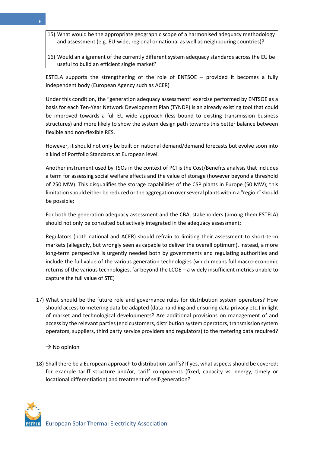- 15) What would be the appropriate geographic scope of a harmonised adequacy methodology and assessment (e.g. EU-wide, regional or national as well as neighbouring countries)?
- 16) Would an alignment of the currently different system adequacy standards across the EU be useful to build an efficient single market?

ESTELA supports the strengthening of the role of ENTSOE – provided it becomes a fully independent body (European Agency such as ACER)

Under this condition, the "generation adequacy assessment" exercise performed by ENTSOE as a basis for each Ten-Year Network Development Plan (TYNDP) is an already existing tool that could be improved towards a full EU-wide approach (less bound to existing transmission business structures) and more likely to show the system design path towards this better balance between flexible and non-flexible RES.

However, it should not only be built on national demand/demand forecasts but evolve soon into a kind of Portfolio Standards at European level.

Another instrument used by TSOs in the context of PCI is the Cost/Benefits analysis that includes a term for assessing social welfare effects and the value of storage (however beyond a threshold of 250 MW). This disqualifies the storage capabilities of the CSP plants in Europe (50 MW); this limitation should either be reduced or the aggregation over several plants within a "region" should be possible;

For both the generation adequacy assessment and the CBA, stakeholders (among them ESTELA) should not only be consulted but actively integrated in the adequacy assessment;

Regulators (both national and ACER) should refrain to limiting their assessment to short-term markets (allegedly, but wrongly seen as capable to deliver the overall optimum). Instead, a more long-term perspective is urgently needed both by governments and regulating authorities and include the full value of the various generation technologies (which means full macro-economic returns of the various technologies, far beyond the LCOE – a widely insufficient metrics unable to capture the full value of STE)

17) What should be the future role and governance rules for distribution system operators? How should access to metering data be adapted (data handling and ensuring data privacy etc.) in light of market and technological developments? Are additional provisions on management of and access by the relevant parties (end customers, distribution system operators, transmission system operators, suppliers, third party service providers and regulators) to the metering data required?

 $\rightarrow$  No opinion

18) Shall there be a European approach to distribution tariffs? If yes, what aspects should be covered; for example tariff structure and/or, tariff components (fixed, capacity vs. energy, timely or locational differentiation) and treatment of self-generation?

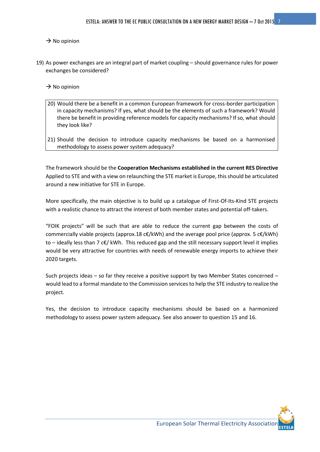### $\rightarrow$  No opinion

19) As power exchanges are an integral part of market coupling – should governance rules for power exchanges be considered?

 $\rightarrow$  No opinion

- 20) Would there be a benefit in a common European framework for cross-border participation in capacity mechanisms? If yes, what should be the elements of such a framework? Would there be benefit in providing reference models for capacity mechanisms? If so, what should they look like?
- 21) Should the decision to introduce capacity mechanisms be based on a harmonised methodology to assess power system adequacy?

The framework should be the **Cooperation Mechanisms established in the current RES Directive** Applied to STE and with a view on relaunching the STE market is Europe, this should be articulated around a new initiative for STE in Europe.

More specifically, the main objective is to build up a catalogue of First-Of-Its-Kind STE projects with a realistic chance to attract the interest of both member states and potential off-takers.

"FOIK projects" will be such that are able to reduce the current gap between the costs of commercially viable projects (approx.18 c€/kWh) and the average pool price (approx. 5 c€/kWh) to – ideally less than 7 c€/ kWh. This reduced gap and the still necessary support level it implies would be very attractive for countries with needs of renewable energy imports to achieve their 2020 targets.

Such projects ideas – so far they receive a positive support by two Member States concerned – would lead to a formal mandate to the Commission services to help the STE industry to realize the project.

Yes, the decision to introduce capacity mechanisms should be based on a harmonized methodology to assess power system adequacy. See also answer to question 15 and 16.